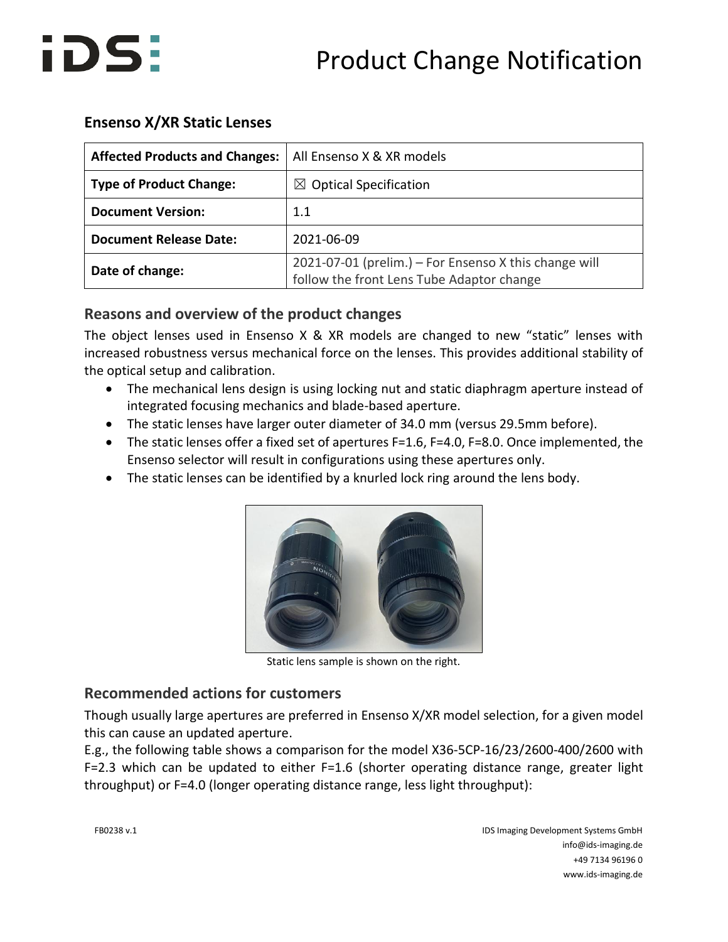

## **Ensenso X/XR Static Lenses**

| <b>Affected Products and Changes:</b> | All Ensenso X & XR models                                                                          |
|---------------------------------------|----------------------------------------------------------------------------------------------------|
| <b>Type of Product Change:</b>        | $\boxtimes$ Optical Specification                                                                  |
| <b>Document Version:</b>              | 1.1                                                                                                |
| <b>Document Release Date:</b>         | 2021-06-09                                                                                         |
| Date of change:                       | 2021-07-01 (prelim.) - For Ensenso X this change will<br>follow the front Lens Tube Adaptor change |

## **Reasons and overview of the product changes**

The object lenses used in Ensenso X & XR models are changed to new "static" lenses with increased robustness versus mechanical force on the lenses. This provides additional stability of the optical setup and calibration.

- The mechanical lens design is using locking nut and static diaphragm aperture instead of integrated focusing mechanics and blade-based aperture.
- The static lenses have larger outer diameter of 34.0 mm (versus 29.5mm before).
- The static lenses offer a fixed set of apertures F=1.6, F=4.0, F=8.0. Once implemented, the Ensenso selector will result in configurations using these apertures only.
- The static lenses can be identified by a knurled lock ring around the lens body.



Static lens sample is shown on the right.

## **Recommended actions for customers**

Though usually large apertures are preferred in Ensenso X/XR model selection, for a given model this can cause an updated aperture.

E.g., the following table shows a comparison for the model X36-5CP-16/23/2600-400/2600 with F=2.3 which can be updated to either F=1.6 (shorter operating distance range, greater light throughput) or F=4.0 (longer operating distance range, less light throughput):